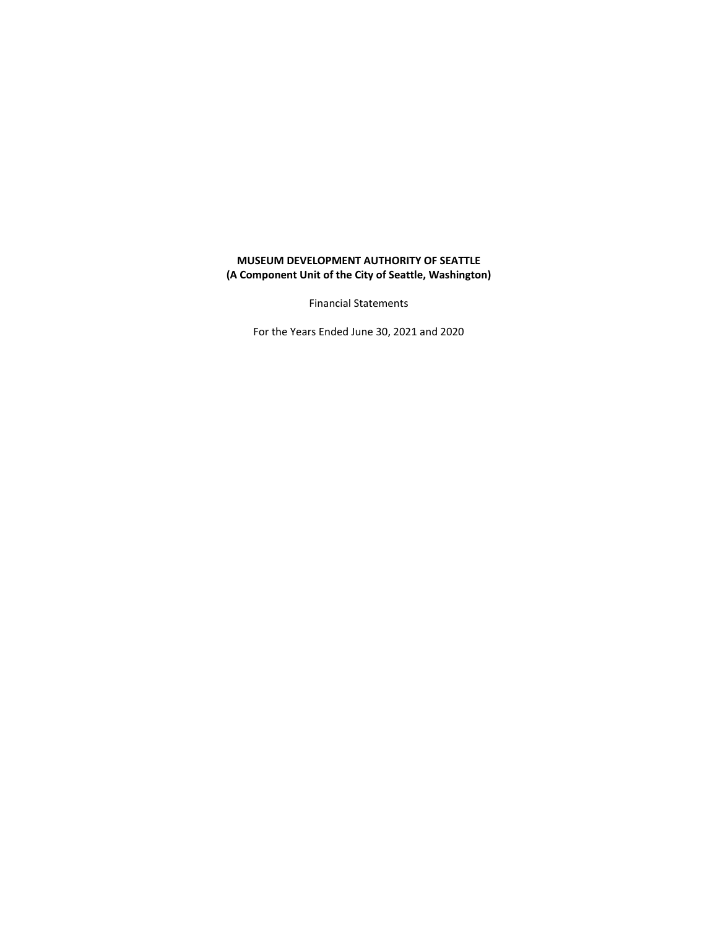# **MUSEUM DEVELOPMENT AUTHORITY OF SEATTLE (A Component Unit of the City of Seattle, Washington)**

Financial Statements

For the Years Ended June 30, 2021 and 2020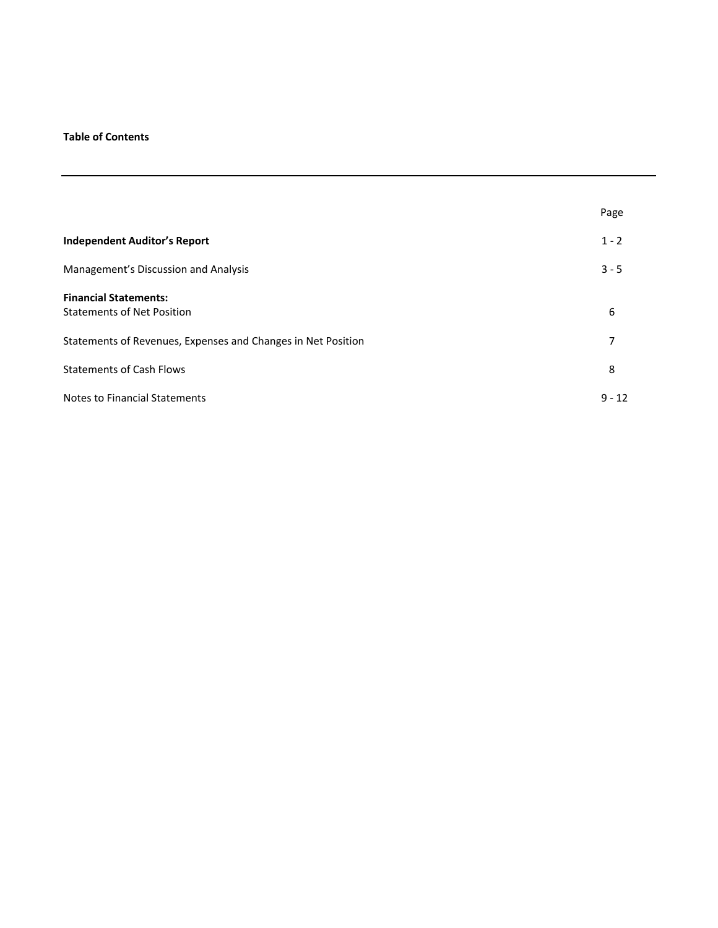## **Table of Contents**

|                                                                   | Page     |
|-------------------------------------------------------------------|----------|
| <b>Independent Auditor's Report</b>                               | $1 - 2$  |
| Management's Discussion and Analysis                              | $3 - 5$  |
| <b>Financial Statements:</b><br><b>Statements of Net Position</b> | 6        |
| Statements of Revenues, Expenses and Changes in Net Position      | 7        |
| <b>Statements of Cash Flows</b>                                   | 8        |
| Notes to Financial Statements                                     | $9 - 12$ |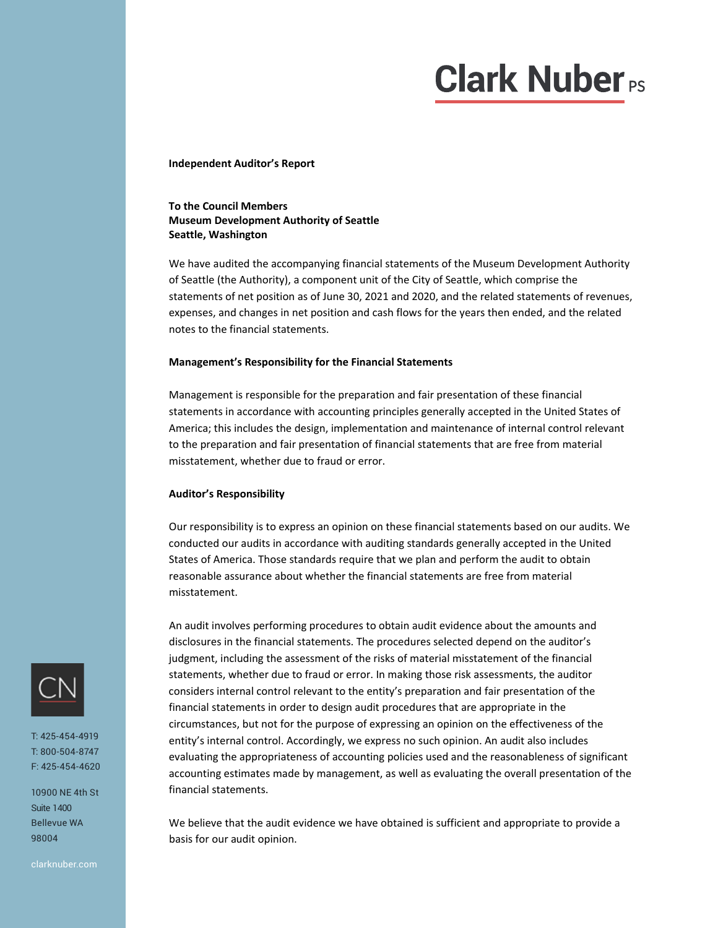# **Clark Nuber**<sub>PS</sub>

**Independent Auditor's Report**

## **To the Council Members Museum Development Authority of Seattle Seattle, Washington**

We have audited the accompanying financial statements of the Museum Development Authority of Seattle (the Authority), a component unit of the City of Seattle, which comprise the statements of net position as of June 30, 2021 and 2020, and the related statements of revenues, expenses, and changes in net position and cash flows for the years then ended, and the related notes to the financial statements.

#### **Management's Responsibility for the Financial Statements**

Management is responsible for the preparation and fair presentation of these financial statements in accordance with accounting principles generally accepted in the United States of America; this includes the design, implementation and maintenance of internal control relevant to the preparation and fair presentation of financial statements that are free from material misstatement, whether due to fraud or error.

## **Auditor's Responsibility**

Our responsibility is to express an opinion on these financial statements based on our audits. We conducted our audits in accordance with auditing standards generally accepted in the United States of America. Those standards require that we plan and perform the audit to obtain reasonable assurance about whether the financial statements are free from material misstatement.

An audit involves performing procedures to obtain audit evidence about the amounts and disclosures in the financial statements. The procedures selected depend on the auditor's judgment, including the assessment of the risks of material misstatement of the financial statements, whether due to fraud or error. In making those risk assessments, the auditor considers internal control relevant to the entity's preparation and fair presentation of the financial statements in order to design audit procedures that are appropriate in the circumstances, but not for the purpose of expressing an opinion on the effectiveness of the entity's internal control. Accordingly, we express no such opinion. An audit also includes evaluating the appropriateness of accounting policies used and the reasonableness of significant accounting estimates made by management, as well as evaluating the overall presentation of the financial statements.

We believe that the audit evidence we have obtained is sufficient and appropriate to provide a basis for our audit opinion.



T: 425-454-4919 T: 800-504-8747 F: 425-454-4620

10900 NE 4th St Suite 1400 Bellevue WA 98004

clarknuber.com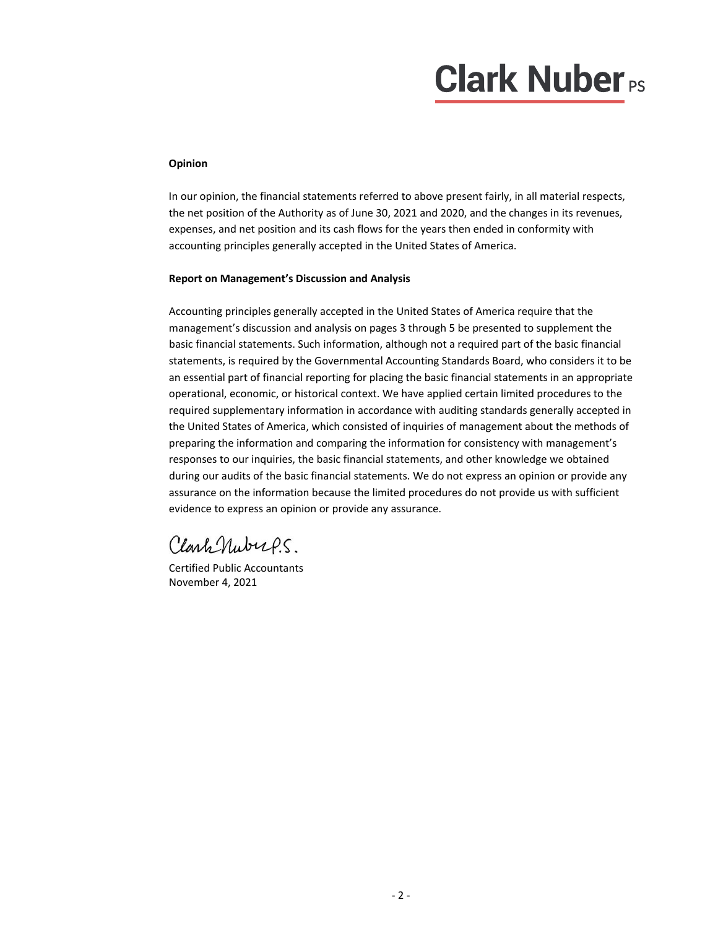# **Clark Nuber**<sub>PS</sub>

## **Opinion**

In our opinion, the financial statements referred to above present fairly, in all material respects, the net position of the Authority as of June 30, 2021 and 2020, and the changes in its revenues, expenses, and net position and its cash flows for the years then ended in conformity with accounting principles generally accepted in the United States of America.

## **Report on Management's Discussion and Analysis**

Accounting principles generally accepted in the United States of America require that the management's discussion and analysis on pages 3 through 5 be presented to supplement the basic financial statements. Such information, although not a required part of the basic financial statements, is required by the Governmental Accounting Standards Board, who considers it to be an essential part of financial reporting for placing the basic financial statements in an appropriate operational, economic, or historical context. We have applied certain limited procedures to the required supplementary information in accordance with auditing standards generally accepted in the United States of America, which consisted of inquiries of management about the methods of preparing the information and comparing the information for consistency with management's responses to our inquiries, the basic financial statements, and other knowledge we obtained during our audits of the basic financial statements. We do not express an opinion or provide any assurance on the information because the limited procedures do not provide us with sufficient evidence to express an opinion or provide any assurance.

Clark Nubups

Certified Public Accountants November 4, 2021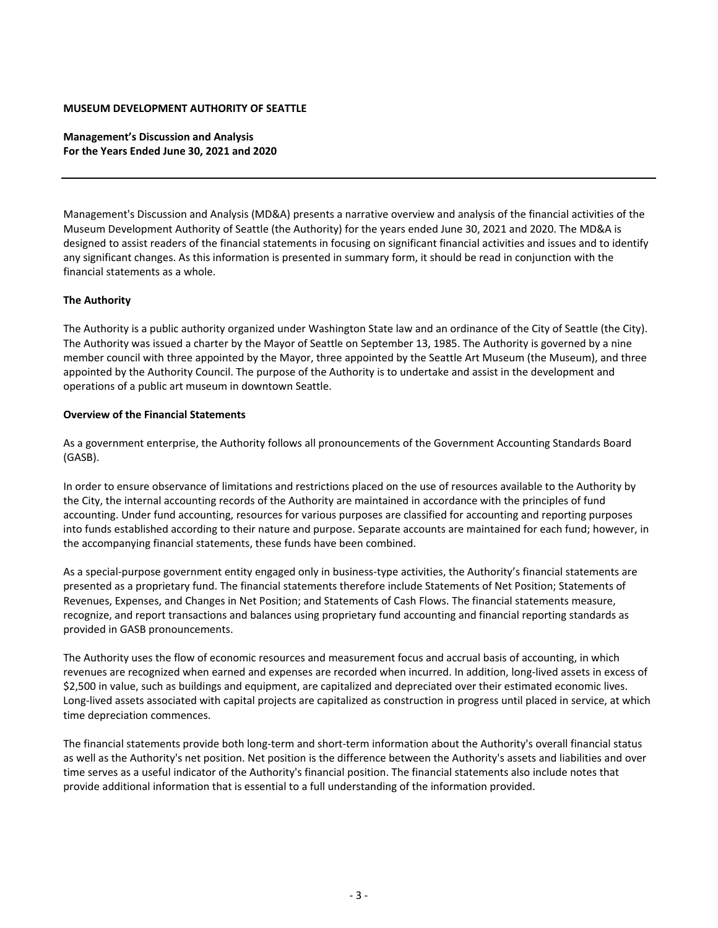**Management's Discussion and Analysis For the Years Ended June 30, 2021 and 2020**

Management's Discussion and Analysis (MD&A) presents a narrative overview and analysis of the financial activities of the Museum Development Authority of Seattle (the Authority) for the years ended June 30, 2021 and 2020. The MD&A is designed to assist readers of the financial statements in focusing on significant financial activities and issues and to identify any significant changes. As this information is presented in summary form, it should be read in conjunction with the financial statements as a whole.

## **The Authority**

The Authority is a public authority organized under Washington State law and an ordinance of the City of Seattle (the City). The Authority was issued a charter by the Mayor of Seattle on September 13, 1985. The Authority is governed by a nine member council with three appointed by the Mayor, three appointed by the Seattle Art Museum (the Museum), and three appointed by the Authority Council. The purpose of the Authority is to undertake and assist in the development and operations of a public art museum in downtown Seattle.

## **Overview of the Financial Statements**

As a government enterprise, the Authority follows all pronouncements of the Government Accounting Standards Board (GASB).

In order to ensure observance of limitations and restrictions placed on the use of resources available to the Authority by the City, the internal accounting records of the Authority are maintained in accordance with the principles of fund accounting. Under fund accounting, resources for various purposes are classified for accounting and reporting purposes into funds established according to their nature and purpose. Separate accounts are maintained for each fund; however, in the accompanying financial statements, these funds have been combined.

As a special-purpose government entity engaged only in business-type activities, the Authority's financial statements are presented as a proprietary fund. The financial statements therefore include Statements of Net Position; Statements of Revenues, Expenses, and Changes in Net Position; and Statements of Cash Flows. The financial statements measure, recognize, and report transactions and balances using proprietary fund accounting and financial reporting standards as provided in GASB pronouncements.

The Authority uses the flow of economic resources and measurement focus and accrual basis of accounting, in which revenues are recognized when earned and expenses are recorded when incurred. In addition, long‐lived assets in excess of \$2,500 in value, such as buildings and equipment, are capitalized and depreciated over their estimated economic lives. Long-lived assets associated with capital projects are capitalized as construction in progress until placed in service, at which time depreciation commences.

The financial statements provide both long-term and short-term information about the Authority's overall financial status as well as the Authority's net position. Net position is the difference between the Authority's assets and liabilities and over time serves as a useful indicator of the Authority's financial position. The financial statements also include notes that provide additional information that is essential to a full understanding of the information provided.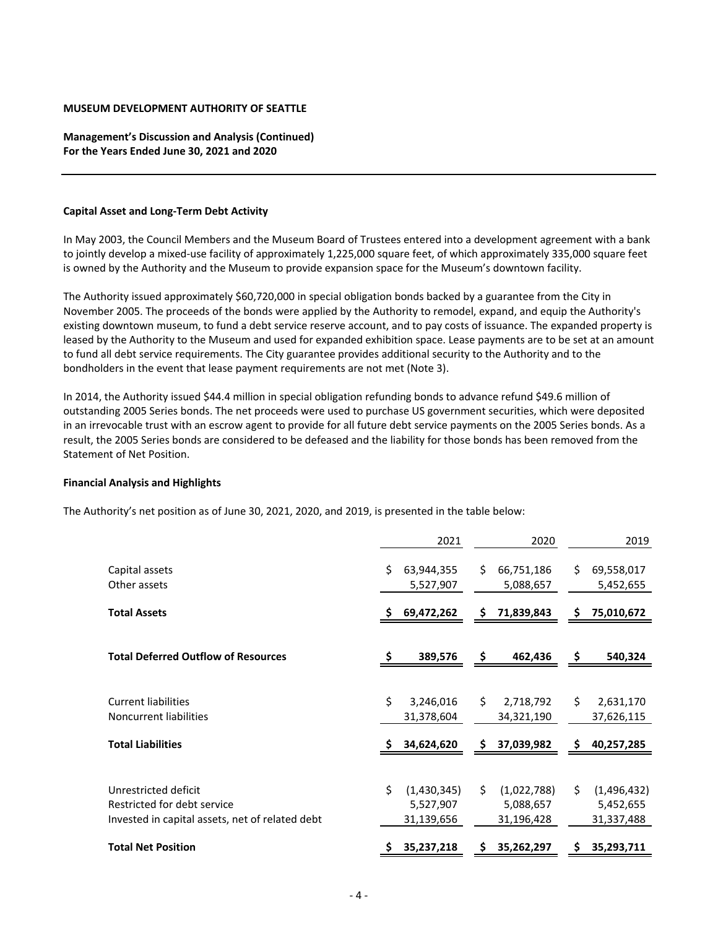**Management's Discussion and Analysis (Continued) For the Years Ended June 30, 2021 and 2020**

### **Capital Asset and Long‐Term Debt Activity**

In May 2003, the Council Members and the Museum Board of Trustees entered into a development agreement with a bank to jointly develop a mixed‐use facility of approximately 1,225,000 square feet, of which approximately 335,000 square feet is owned by the Authority and the Museum to provide expansion space for the Museum's downtown facility.

The Authority issued approximately \$60,720,000 in special obligation bonds backed by a guarantee from the City in November 2005. The proceeds of the bonds were applied by the Authority to remodel, expand, and equip the Authority's existing downtown museum, to fund a debt service reserve account, and to pay costs of issuance. The expanded property is leased by the Authority to the Museum and used for expanded exhibition space. Lease payments are to be set at an amount to fund all debt service requirements. The City guarantee provides additional security to the Authority and to the bondholders in the event that lease payment requirements are not met (Note 3).

In 2014, the Authority issued \$44.4 million in special obligation refunding bonds to advance refund \$49.6 million of outstanding 2005 Series bonds. The net proceeds were used to purchase US government securities, which were deposited in an irrevocable trust with an escrow agent to provide for all future debt service payments on the 2005 Series bonds. As a result, the 2005 Series bonds are considered to be defeased and the liability for those bonds has been removed from the Statement of Net Position.

## **Financial Analysis and Highlights**

The Authority's net position as of June 30, 2021, 2020, and 2019, is presented in the table below:

|                                                                                                        |                                              | 2021          | 2020                                   |    | 2019                                   |
|--------------------------------------------------------------------------------------------------------|----------------------------------------------|---------------|----------------------------------------|----|----------------------------------------|
| Capital assets<br>Other assets                                                                         | Ś.<br>63,944,355<br>5,527,907                | Ś.            | 66,751,186<br>5,088,657                | \$ | 69,558,017<br>5,452,655                |
| <b>Total Assets</b>                                                                                    | 69,472,262<br>s                              | S             | 71,839,843                             | \$ | 75,010,672                             |
| <b>Total Deferred Outflow of Resources</b>                                                             |                                              | 389,576<br>\$ | 462,436                                | \$ | 540,324                                |
| <b>Current liabilities</b><br>Noncurrent liabilities                                                   | Ś.<br>3,246,016<br>31,378,604                | Ś.            | 2,718,792<br>34,321,190                | \$ | 2,631,170<br>37,626,115                |
| <b>Total Liabilities</b>                                                                               | 34,624,620                                   | S             | 37,039,982                             | \$ | 40,257,285                             |
| Unrestricted deficit<br>Restricted for debt service<br>Invested in capital assets, net of related debt | Ś.<br>(1,430,345)<br>5,527,907<br>31,139,656 | Ś.            | (1,022,788)<br>5,088,657<br>31,196,428 | \$ | (1,496,432)<br>5,452,655<br>31,337,488 |
| <b>Total Net Position</b>                                                                              | 35,237,218                                   |               | 35,262,297                             | Ş  | 35,293,711                             |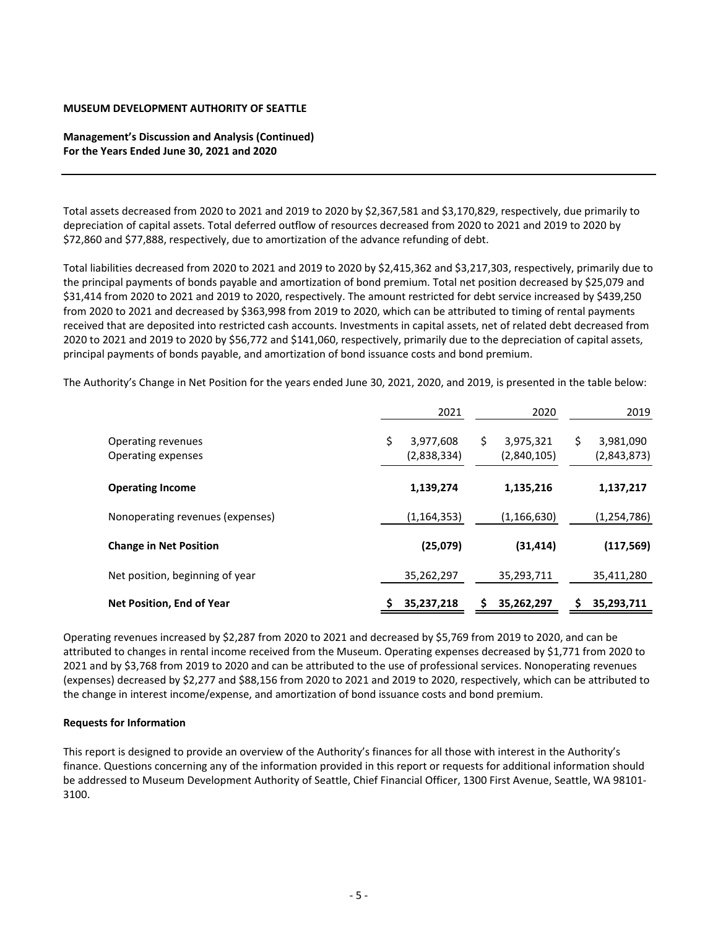## **Management's Discussion and Analysis (Continued) For the Years Ended June 30, 2021 and 2020**

Total assets decreased from 2020 to 2021 and 2019 to 2020 by \$2,367,581 and \$3,170,829, respectively, due primarily to depreciation of capital assets. Total deferred outflow of resources decreased from 2020 to 2021 and 2019 to 2020 by \$72,860 and \$77,888, respectively, due to amortization of the advance refunding of debt.

Total liabilities decreased from 2020 to 2021 and 2019 to 2020 by \$2,415,362 and \$3,217,303, respectively, primarily due to the principal payments of bonds payable and amortization of bond premium. Total net position decreased by \$25,079 and \$31,414 from 2020 to 2021 and 2019 to 2020, respectively. The amount restricted for debt service increased by \$439,250 from 2020 to 2021 and decreased by \$363,998 from 2019 to 2020, which can be attributed to timing of rental payments received that are deposited into restricted cash accounts. Investments in capital assets, net of related debt decreased from 2020 to 2021 and 2019 to 2020 by \$56,772 and \$141,060, respectively, primarily due to the depreciation of capital assets, principal payments of bonds payable, and amortization of bond issuance costs and bond premium.

The Authority's Change in Net Position for the years ended June 30, 2021, 2020, and 2019, is presented in the table below:

|                                          | 2021                           | 2020                           |    | 2019                     |
|------------------------------------------|--------------------------------|--------------------------------|----|--------------------------|
| Operating revenues<br>Operating expenses | \$<br>3,977,608<br>(2,838,334) | \$<br>3,975,321<br>(2,840,105) | \$ | 3,981,090<br>(2,843,873) |
| <b>Operating Income</b>                  | 1,139,274                      | 1,135,216                      |    | 1,137,217                |
| Nonoperating revenues (expenses)         | (1, 164, 353)                  | (1, 166, 630)                  |    | (1, 254, 786)            |
| <b>Change in Net Position</b>            | (25,079)                       | (31, 414)                      |    | (117, 569)               |
| Net position, beginning of year          | 35,262,297                     | 35,293,711                     |    | 35,411,280               |
| Net Position, End of Year                | 35,237,218                     | 35,262,297                     | S  | 35,293,711               |

Operating revenues increased by \$2,287 from 2020 to 2021 and decreased by \$5,769 from 2019 to 2020, and can be attributed to changes in rental income received from the Museum. Operating expenses decreased by \$1,771 from 2020 to 2021 and by \$3,768 from 2019 to 2020 and can be attributed to the use of professional services. Nonoperating revenues (expenses) decreased by \$2,277 and \$88,156 from 2020 to 2021 and 2019 to 2020, respectively, which can be attributed to the change in interest income/expense, and amortization of bond issuance costs and bond premium.

## **Requests for Information**

This report is designed to provide an overview of the Authority's finances for all those with interest in the Authority's finance. Questions concerning any of the information provided in this report or requests for additional information should be addressed to Museum Development Authority of Seattle, Chief Financial Officer, 1300 First Avenue, Seattle, WA 98101-3100.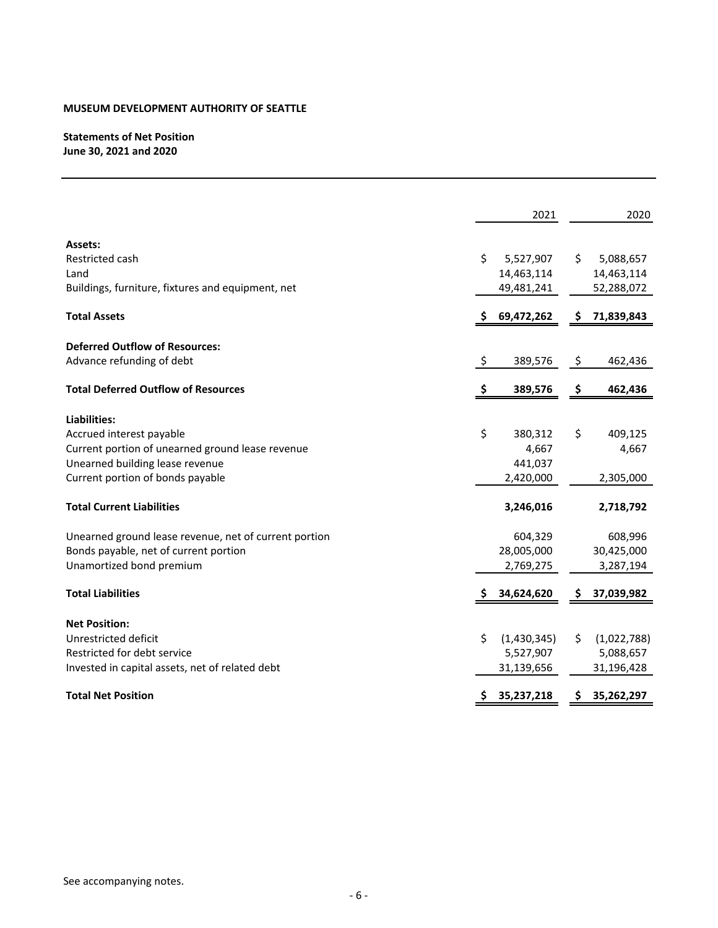# **Statements of Net Position June 30, 2021 and 2020**

|                                                       |     | 2021         |     | 2020        |
|-------------------------------------------------------|-----|--------------|-----|-------------|
| Assets:                                               |     |              |     |             |
| Restricted cash                                       | \$  | 5,527,907    | S.  | 5,088,657   |
| Land                                                  |     | 14,463,114   |     | 14,463,114  |
| Buildings, furniture, fixtures and equipment, net     |     | 49,481,241   |     | 52,288,072  |
| <b>Total Assets</b>                                   |     | \$69,472,262 | Ş.  | 71,839,843  |
| <b>Deferred Outflow of Resources:</b>                 |     |              |     |             |
| Advance refunding of debt                             | \$  | 389,576      | \$  | 462,436     |
| <b>Total Deferred Outflow of Resources</b>            | \$. | 389,576      | -\$ | 462,436     |
| Liabilities:                                          |     |              |     |             |
| Accrued interest payable                              | \$  | 380,312      | \$  | 409,125     |
| Current portion of unearned ground lease revenue      |     | 4,667        |     | 4,667       |
| Unearned building lease revenue                       |     | 441,037      |     |             |
| Current portion of bonds payable                      |     | 2,420,000    |     | 2,305,000   |
| <b>Total Current Liabilities</b>                      |     | 3,246,016    |     | 2,718,792   |
| Unearned ground lease revenue, net of current portion |     | 604,329      |     | 608,996     |
| Bonds payable, net of current portion                 |     | 28,005,000   |     | 30,425,000  |
| Unamortized bond premium                              |     | 2,769,275    |     | 3,287,194   |
| <b>Total Liabilities</b>                              | S   | 34,624,620   | S.  | 37,039,982  |
| <b>Net Position:</b>                                  |     |              |     |             |
| Unrestricted deficit                                  | \$  | (1,430,345)  | \$  | (1,022,788) |
| Restricted for debt service                           |     | 5,527,907    |     | 5,088,657   |
| Invested in capital assets, net of related debt       |     | 31,139,656   |     | 31,196,428  |
| <b>Total Net Position</b>                             |     | 35,237,218   | \$. | 35,262,297  |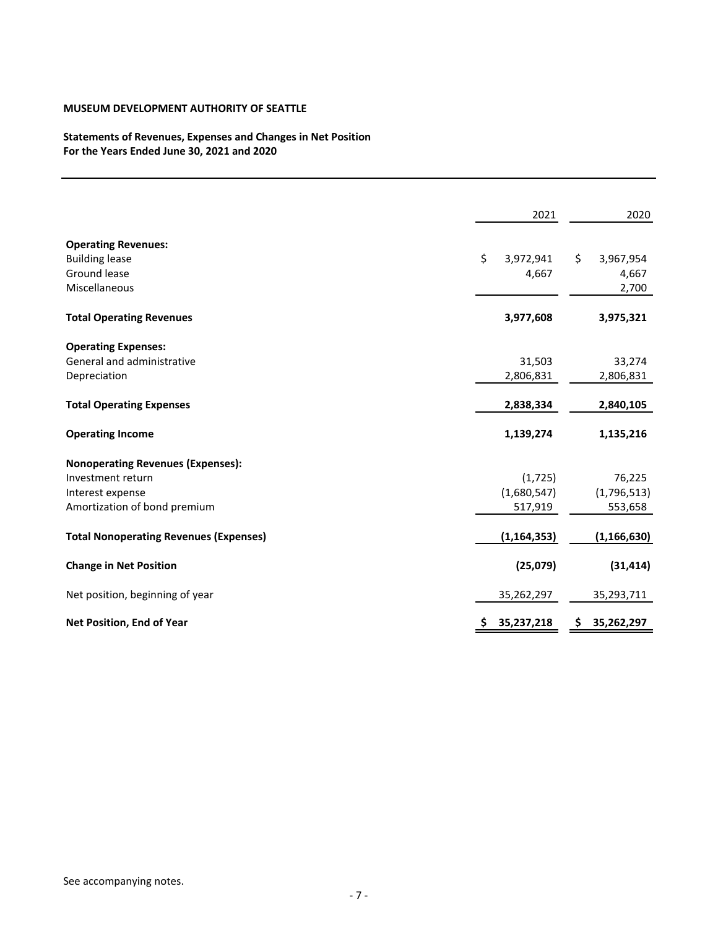# **Statements of Revenues, Expenses and Changes in Net Position For the Years Ended June 30, 2021 and 2020**

|                                               | 2021            |    | 2020          |
|-----------------------------------------------|-----------------|----|---------------|
| <b>Operating Revenues:</b>                    |                 |    |               |
| <b>Building lease</b>                         | \$<br>3,972,941 | Ŝ. | 3,967,954     |
| Ground lease                                  | 4,667           |    | 4,667         |
| Miscellaneous                                 |                 |    | 2,700         |
| <b>Total Operating Revenues</b>               | 3,977,608       |    | 3,975,321     |
| <b>Operating Expenses:</b>                    |                 |    |               |
| General and administrative                    | 31,503          |    | 33,274        |
| Depreciation                                  | 2,806,831       |    | 2,806,831     |
| <b>Total Operating Expenses</b>               | 2,838,334       |    | 2,840,105     |
| <b>Operating Income</b>                       | 1,139,274       |    | 1,135,216     |
| <b>Nonoperating Revenues (Expenses):</b>      |                 |    |               |
| Investment return                             | (1, 725)        |    | 76,225        |
| Interest expense                              | (1,680,547)     |    | (1,796,513)   |
| Amortization of bond premium                  | 517,919         |    | 553,658       |
| <b>Total Nonoperating Revenues (Expenses)</b> | (1, 164, 353)   |    | (1, 166, 630) |
| <b>Change in Net Position</b>                 | (25,079)        |    | (31, 414)     |
| Net position, beginning of year               | 35,262,297      |    | 35,293,711    |
| Net Position, End of Year                     | 35,237,218      | Ş  | 35,262,297    |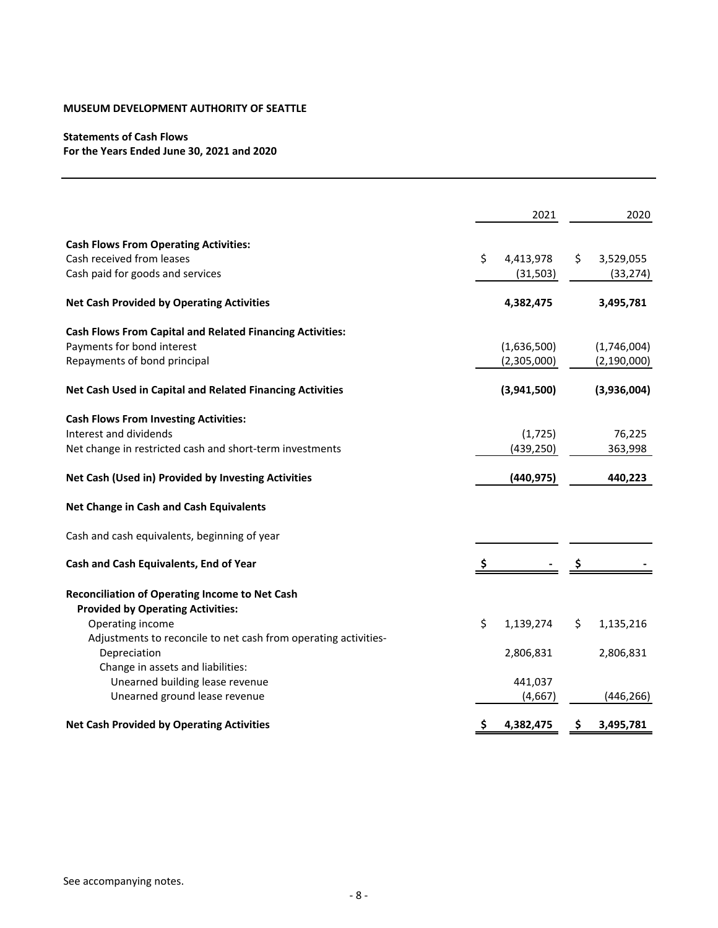# **Statements of Cash Flows For the Years Ended June 30, 2021 and 2020**

|                                                                  | 2021            | 2020            |
|------------------------------------------------------------------|-----------------|-----------------|
| <b>Cash Flows From Operating Activities:</b>                     |                 |                 |
| Cash received from leases                                        | \$<br>4,413,978 | \$<br>3,529,055 |
| Cash paid for goods and services                                 | (31, 503)       | (33, 274)       |
| <b>Net Cash Provided by Operating Activities</b>                 | 4,382,475       | 3,495,781       |
| <b>Cash Flows From Capital and Related Financing Activities:</b> |                 |                 |
| Payments for bond interest                                       | (1,636,500)     | (1,746,004)     |
| Repayments of bond principal                                     | (2,305,000)     | (2, 190, 000)   |
| Net Cash Used in Capital and Related Financing Activities        | (3,941,500)     | (3,936,004)     |
| <b>Cash Flows From Investing Activities:</b>                     |                 |                 |
| Interest and dividends                                           | (1, 725)        | 76,225          |
| Net change in restricted cash and short-term investments         | (439, 250)      | 363,998         |
| Net Cash (Used in) Provided by Investing Activities              | (440, 975)      | 440,223         |
| Net Change in Cash and Cash Equivalents                          |                 |                 |
| Cash and cash equivalents, beginning of year                     |                 |                 |
| Cash and Cash Equivalents, End of Year                           |                 |                 |
| Reconciliation of Operating Income to Net Cash                   |                 |                 |
| <b>Provided by Operating Activities:</b>                         |                 |                 |
| Operating income                                                 | \$<br>1,139,274 | \$<br>1,135,216 |
| Adjustments to reconcile to net cash from operating activities-  |                 |                 |
| Depreciation                                                     | 2,806,831       | 2,806,831       |
| Change in assets and liabilities:                                |                 |                 |
| Unearned building lease revenue                                  | 441,037         |                 |
| Unearned ground lease revenue                                    | (4,667)         | (446, 266)      |
| <b>Net Cash Provided by Operating Activities</b>                 | \$<br>4,382,475 | \$<br>3,495,781 |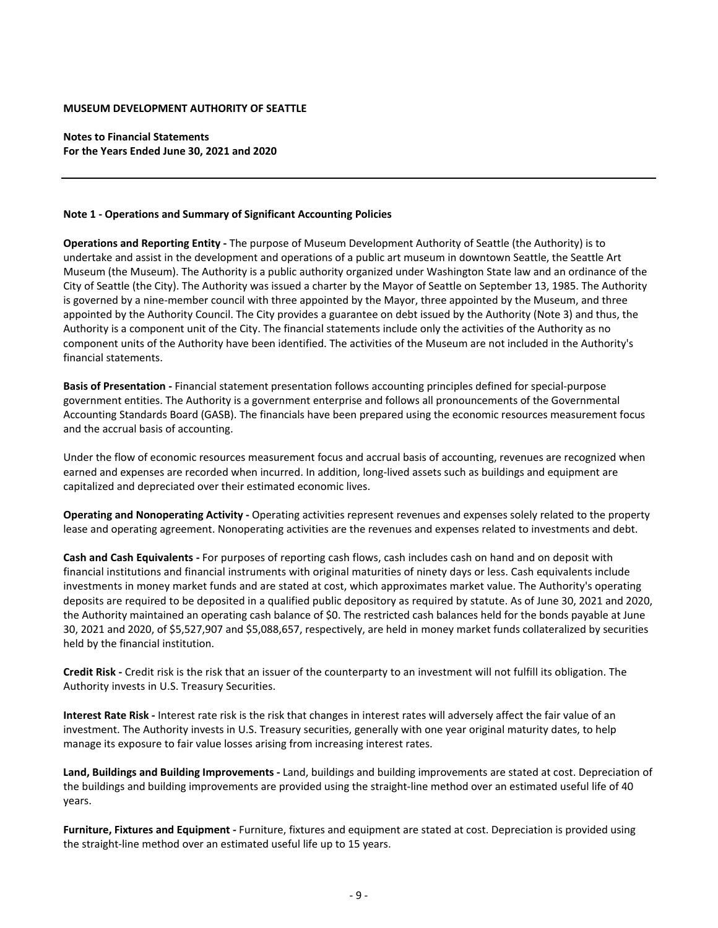**Notes to Financial Statements For the Years Ended June 30, 2021 and 2020**

#### **Note 1 ‐ Operations and Summary of Significant Accounting Policies**

**Operations and Reporting Entity ‐** The purpose of Museum Development Authority of Seattle (the Authority) is to undertake and assist in the development and operations of a public art museum in downtown Seattle, the Seattle Art Museum (the Museum). The Authority is a public authority organized under Washington State law and an ordinance of the City of Seattle (the City). The Authority was issued a charter by the Mayor of Seattle on September 13, 1985. The Authority is governed by a nine‐member council with three appointed by the Mayor, three appointed by the Museum, and three appointed by the Authority Council. The City provides a guarantee on debt issued by the Authority (Note 3) and thus, the Authority is a component unit of the City. The financial statements include only the activities of the Authority as no component units of the Authority have been identified. The activities of the Museum are not included in the Authority's financial statements.

**Basis of Presentation ‐** Financial statement presentation follows accounting principles defined for special‐purpose government entities. The Authority is a government enterprise and follows all pronouncements of the Governmental Accounting Standards Board (GASB). The financials have been prepared using the economic resources measurement focus and the accrual basis of accounting.

Under the flow of economic resources measurement focus and accrual basis of accounting, revenues are recognized when earned and expenses are recorded when incurred. In addition, long‐lived assets such as buildings and equipment are capitalized and depreciated over their estimated economic lives.

**Operating and Nonoperating Activity ‐** Operating activities represent revenues and expenses solely related to the property lease and operating agreement. Nonoperating activities are the revenues and expenses related to investments and debt.

**Cash and Cash Equivalents ‐** For purposes of reporting cash flows, cash includes cash on hand and on deposit with financial institutions and financial instruments with original maturities of ninety days or less. Cash equivalents include investments in money market funds and are stated at cost, which approximates market value. The Authority's operating deposits are required to be deposited in a qualified public depository as required by statute. As of June 30, 2021 and 2020, the Authority maintained an operating cash balance of \$0. The restricted cash balances held for the bonds payable at June 30, 2021 and 2020, of \$5,527,907 and \$5,088,657, respectively, are held in money market funds collateralized by securities held by the financial institution.

**Credit Risk ‐** Credit risk is the risk that an issuer of the counterparty to an investment will not fulfill its obligation. The Authority invests in U.S. Treasury Securities.

**Interest Rate Risk ‐** Interest rate risk is the risk that changes in interest rates will adversely affect the fair value of an investment. The Authority invests in U.S. Treasury securities, generally with one year original maturity dates, to help manage its exposure to fair value losses arising from increasing interest rates.

**Land, Buildings and Building Improvements ‐** Land, buildings and building improvements are stated at cost. Depreciation of the buildings and building improvements are provided using the straight‐line method over an estimated useful life of 40 years.

**Furniture, Fixtures and Equipment ‐** Furniture, fixtures and equipment are stated at cost. Depreciation is provided using the straight‐line method over an estimated useful life up to 15 years.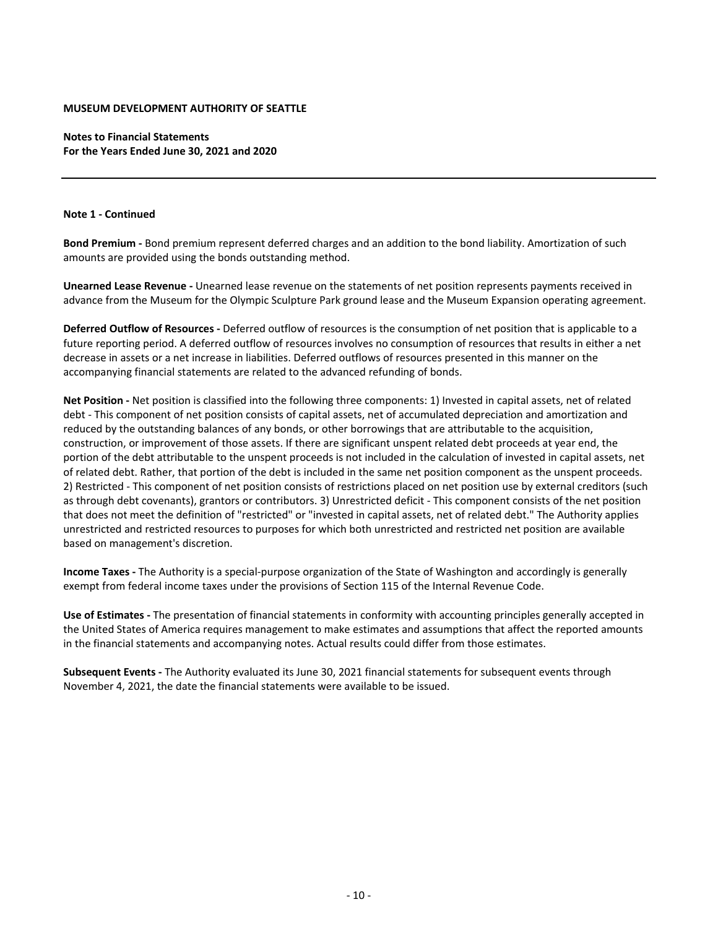**Notes to Financial Statements For the Years Ended June 30, 2021 and 2020**

## **Note 1 ‐ Continued**

**Bond Premium ‐** Bond premium represent deferred charges and an addition to the bond liability. Amortization of such amounts are provided using the bonds outstanding method.

**Unearned Lease Revenue ‐** Unearned lease revenue on the statements of net position represents payments received in advance from the Museum for the Olympic Sculpture Park ground lease and the Museum Expansion operating agreement.

**Deferred Outflow of Resources ‐** Deferred outflow of resources is the consumption of net position that is applicable to a future reporting period. A deferred outflow of resources involves no consumption of resources that results in either a net decrease in assets or a net increase in liabilities. Deferred outflows of resources presented in this manner on the accompanying financial statements are related to the advanced refunding of bonds.

**Net Position ‐** Net position is classified into the following three components: 1) Invested in capital assets, net of related debt - This component of net position consists of capital assets, net of accumulated depreciation and amortization and reduced by the outstanding balances of any bonds, or other borrowings that are attributable to the acquisition, construction, or improvement of those assets. If there are significant unspent related debt proceeds at year end, the portion of the debt attributable to the unspent proceeds is not included in the calculation of invested in capital assets, net of related debt. Rather, that portion of the debt is included in the same net position component as the unspent proceeds. 2) Restricted ‐ This component of net position consists of restrictions placed on net position use by external creditors (such as through debt covenants), grantors or contributors. 3) Unrestricted deficit ‐ This component consists of the net position that does not meet the definition of "restricted" or "invested in capital assets, net of related debt." The Authority applies unrestricted and restricted resources to purposes for which both unrestricted and restricted net position are available based on management's discretion.

**Income Taxes ‐** The Authority is a special‐purpose organization of the State of Washington and accordingly is generally exempt from federal income taxes under the provisions of Section 115 of the Internal Revenue Code.

**Use of Estimates ‐** The presentation of financial statements in conformity with accounting principles generally accepted in the United States of America requires management to make estimates and assumptions that affect the reported amounts in the financial statements and accompanying notes. Actual results could differ from those estimates.

**Subsequent Events ‐** The Authority evaluated its June 30, 2021 financial statements for subsequent events through November 4, 2021, the date the financial statements were available to be issued.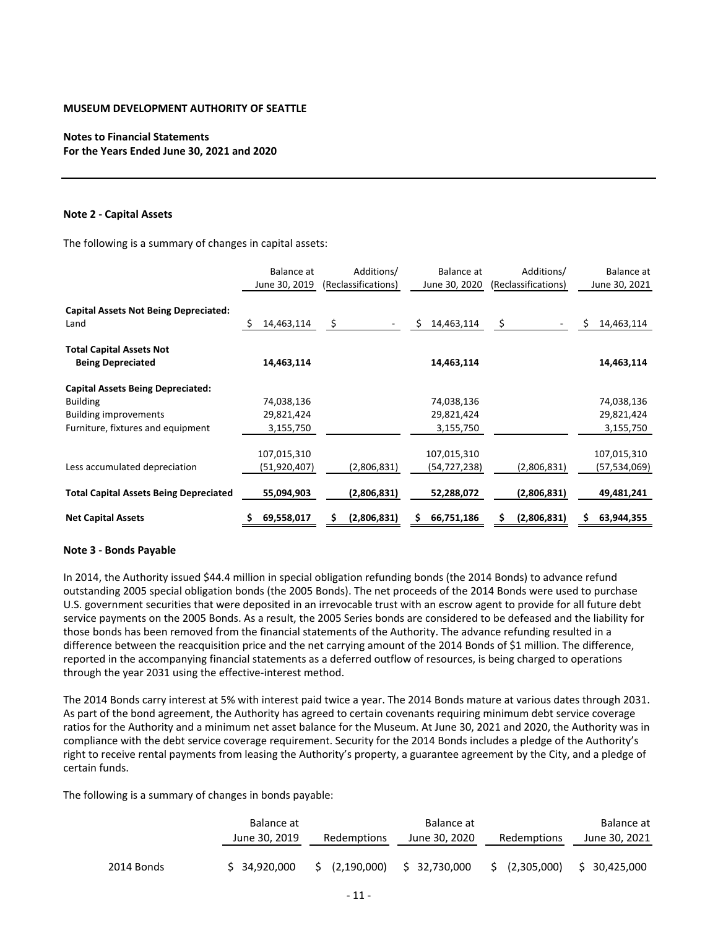## **Notes to Financial Statements For the Years Ended June 30, 2021 and 2020**

#### **Note 2 ‐ Capital Assets**

The following is a summary of changes in capital assets:

|                                                      | Balance at      | Additions/          | Balance at      | Additions/          | Balance at       |
|------------------------------------------------------|-----------------|---------------------|-----------------|---------------------|------------------|
|                                                      | June 30, 2019   | (Reclassifications) | June 30, 2020   | (Reclassifications) | June 30, 2021    |
| <b>Capital Assets Not Being Depreciated:</b><br>Land | 14,463,114<br>S | \$                  | Ś<br>14,463,114 | \$.                 | \$<br>14,463,114 |
|                                                      |                 |                     |                 |                     |                  |
| <b>Total Capital Assets Not</b>                      |                 |                     |                 |                     |                  |
| <b>Being Depreciated</b>                             | 14,463,114      |                     | 14,463,114      |                     | 14,463,114       |
| <b>Capital Assets Being Depreciated:</b>             |                 |                     |                 |                     |                  |
| <b>Building</b>                                      | 74,038,136      |                     | 74,038,136      |                     | 74,038,136       |
| <b>Building improvements</b>                         | 29,821,424      |                     | 29,821,424      |                     | 29,821,424       |
| Furniture, fixtures and equipment                    | 3,155,750       |                     | 3,155,750       |                     | 3,155,750        |
|                                                      | 107,015,310     |                     | 107,015,310     |                     | 107,015,310      |
| Less accumulated depreciation                        | (51, 920, 407)  | (2,806,831)         | (54,727,238)    | (2,806,831)         | (57,534,069)     |
| <b>Total Capital Assets Being Depreciated</b>        | 55,094,903      | (2,806,831)         | 52,288,072      | (2,806,831)         | 49,481,241       |
| <b>Net Capital Assets</b>                            | 69,558,017      | (2,806,831)<br>S    | 66,751,186      | (2,806,831)         | 63,944,355       |

## **Note 3 ‐ Bonds Payable**

In 2014, the Authority issued \$44.4 million in special obligation refunding bonds (the 2014 Bonds) to advance refund outstanding 2005 special obligation bonds (the 2005 Bonds). The net proceeds of the 2014 Bonds were used to purchase U.S. government securities that were deposited in an irrevocable trust with an escrow agent to provide for all future debt service payments on the 2005 Bonds. As a result, the 2005 Series bonds are considered to be defeased and the liability for those bonds has been removed from the financial statements of the Authority. The advance refunding resulted in a difference between the reacquisition price and the net carrying amount of the 2014 Bonds of \$1 million. The difference, reported in the accompanying financial statements as a deferred outflow of resources, is being charged to operations through the year 2031 using the effective‐interest method.

The 2014 Bonds carry interest at 5% with interest paid twice a year. The 2014 Bonds mature at various dates through 2031. As part of the bond agreement, the Authority has agreed to certain covenants requiring minimum debt service coverage ratios for the Authority and a minimum net asset balance for the Museum. At June 30, 2021 and 2020, the Authority was in compliance with the debt service coverage requirement. Security for the 2014 Bonds includes a pledge of the Authority's right to receive rental payments from leasing the Authority's property, a guarantee agreement by the City, and a pledge of certain funds.

The following is a summary of changes in bonds payable:

|            | Balance at    |                | Balance at    |                | Balance at    |
|------------|---------------|----------------|---------------|----------------|---------------|
|            | June 30, 2019 | Redemptions    | June 30, 2020 | Redemptions    | June 30, 2021 |
|            |               |                |               |                |               |
| 2014 Bonds | \$34,920,000  | \$ (2,190,000) | \$32,730,000  | \$ (2,305,000) | \$30,425,000  |